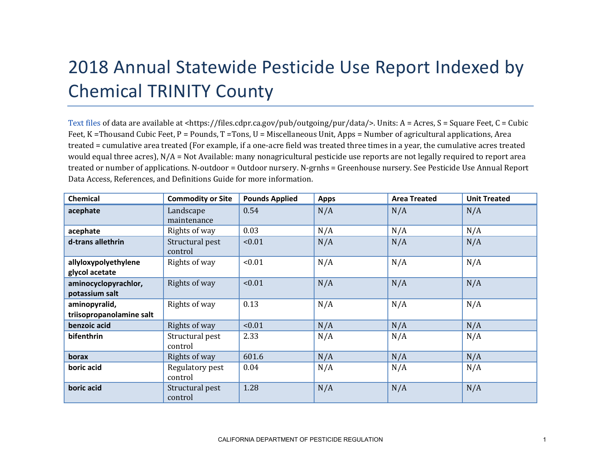## 2018 Annual Statewide Pesticide Use Report Indexed by Chemical TRINITY County

[Text files](https://files.cdpr.ca.gov/pub/outgoing/pur/data/) of data are available at <https://files.cdpr.ca.gov/pub/outgoing/pur/data/>. Units: A = Acres, S = Square Feet, C = Cubic Feet, K = Thousand Cubic Feet, P = Pounds, T = Tons, U = Miscellaneous Unit, Apps = Number of agricultural applications, Area treated = cumulative area treated (For example, if a one-acre field was treated three times in a year, the cumulative acres treated would equal three acres), N/A = Not Available: many nonagricultural pesticide use reports are not legally required to report area treated or number of applications. N-outdoor = Outdoor nursery. N-grnhs = Greenhouse nursery. See Pesticide Use Annual Report Data Access, References, and Definitions Guide for more information.

| <b>Chemical</b>                           | <b>Commodity or Site</b>   | <b>Pounds Applied</b> | <b>Apps</b> | <b>Area Treated</b> | <b>Unit Treated</b> |
|-------------------------------------------|----------------------------|-----------------------|-------------|---------------------|---------------------|
| acephate                                  | Landscape<br>maintenance   | 0.54                  | N/A         | N/A                 | N/A                 |
| acephate                                  | Rights of way              | 0.03                  | N/A         | N/A                 | N/A                 |
| d-trans allethrin                         | Structural pest<br>control | < 0.01                | N/A         | N/A                 | N/A                 |
| allyloxypolyethylene<br>glycol acetate    | Rights of way              | < 0.01                | N/A         | N/A                 | N/A                 |
| aminocyclopyrachlor,<br>potassium salt    | Rights of way              | < 0.01                | N/A         | N/A                 | N/A                 |
| aminopyralid,<br>triisopropanolamine salt | Rights of way              | 0.13                  | N/A         | N/A                 | N/A                 |
| benzoic acid                              | Rights of way              | < 0.01                | N/A         | N/A                 | N/A                 |
| bifenthrin                                | Structural pest<br>control | 2.33                  | N/A         | N/A                 | N/A                 |
| borax                                     | Rights of way              | 601.6                 | N/A         | N/A                 | N/A                 |
| boric acid                                | Regulatory pest<br>control | 0.04                  | N/A         | N/A                 | N/A                 |
| boric acid                                | Structural pest<br>control | 1.28                  | N/A         | N/A                 | N/A                 |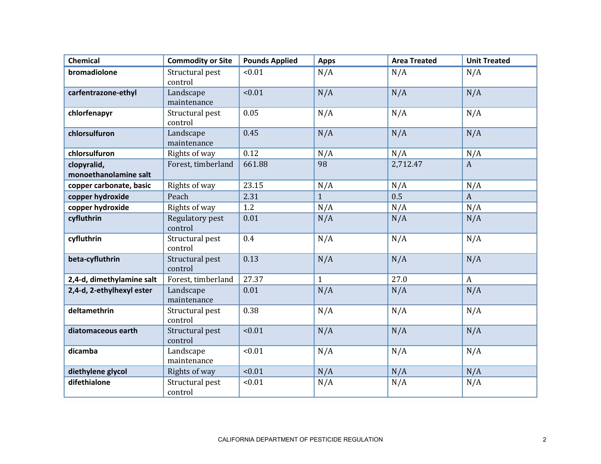| <b>Chemical</b>                      | <b>Commodity or Site</b>   | <b>Pounds Applied</b> | <b>Apps</b>  | <b>Area Treated</b> | <b>Unit Treated</b> |
|--------------------------------------|----------------------------|-----------------------|--------------|---------------------|---------------------|
| bromadiolone                         | Structural pest<br>control | < 0.01                | N/A          | N/A                 | N/A                 |
| carfentrazone-ethyl                  | Landscape<br>maintenance   | < 0.01                | N/A          | N/A                 | N/A                 |
| chlorfenapyr                         | Structural pest<br>control | 0.05                  | N/A          | N/A                 | N/A                 |
| chlorsulfuron                        | Landscape<br>maintenance   | 0.45                  | N/A          | N/A                 | N/A                 |
| chlorsulfuron                        | Rights of way              | 0.12                  | N/A          | N/A                 | N/A                 |
| clopyralid,<br>monoethanolamine salt | Forest, timberland         | 661.88                | 98           | 2,712.47            | $\mathbf{A}$        |
| copper carbonate, basic              | Rights of way              | 23.15                 | N/A          | N/A                 | N/A                 |
| copper hydroxide                     | Peach                      | 2.31                  | $\mathbf{1}$ | 0.5                 | $\boldsymbol{A}$    |
| copper hydroxide                     | Rights of way              | 1.2                   | N/A          | N/A                 | N/A                 |
| cyfluthrin                           | Regulatory pest<br>control | 0.01                  | N/A          | N/A                 | N/A                 |
| cyfluthrin                           | Structural pest<br>control | 0.4                   | N/A          | N/A                 | N/A                 |
| beta-cyfluthrin                      | Structural pest<br>control | 0.13                  | N/A          | N/A                 | N/A                 |
| 2,4-d, dimethylamine salt            | Forest, timberland         | 27.37                 | $\mathbf{1}$ | 27.0                | $\mathbf{A}$        |
| 2,4-d, 2-ethylhexyl ester            | Landscape<br>maintenance   | 0.01                  | N/A          | N/A                 | N/A                 |
| deltamethrin                         | Structural pest<br>control | 0.38                  | N/A          | N/A                 | N/A                 |
| diatomaceous earth                   | Structural pest<br>control | < 0.01                | N/A          | N/A                 | N/A                 |
| dicamba                              | Landscape<br>maintenance   | < 0.01                | N/A          | N/A                 | N/A                 |
| diethylene glycol                    | Rights of way              | < 0.01                | N/A          | N/A                 | N/A                 |
| difethialone                         | Structural pest<br>control | < 0.01                | N/A          | N/A                 | N/A                 |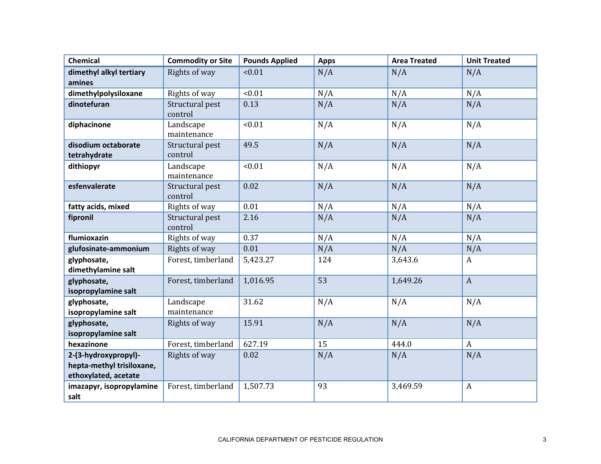| <b>Chemical</b>           | <b>Commodity or Site</b> | <b>Pounds Applied</b> | <b>Apps</b> | <b>Area Treated</b> | <b>Unit Treated</b> |
|---------------------------|--------------------------|-----------------------|-------------|---------------------|---------------------|
| dimethyl alkyl tertiary   | Rights of way            | < 0.01                | N/A         | N/A                 | N/A                 |
| amines                    |                          |                       |             |                     |                     |
| dimethylpolysiloxane      | Rights of way            | < 0.01                | N/A         | N/A                 | N/A                 |
| dinotefuran               | Structural pest          | 0.13                  | N/A         | N/A                 | N/A                 |
|                           | control                  |                       |             |                     |                     |
| diphacinone               | Landscape                | < 0.01                | N/A         | N/A                 | N/A                 |
|                           | maintenance              |                       |             |                     |                     |
| disodium octaborate       | Structural pest          | 49.5                  | N/A         | N/A                 | N/A                 |
| tetrahydrate              | control                  |                       |             |                     |                     |
| dithiopyr                 | Landscape                | < 0.01                | N/A         | N/A                 | N/A                 |
|                           | maintenance              |                       |             |                     |                     |
| esfenvalerate             | Structural pest          | 0.02                  | N/A         | N/A                 | N/A                 |
|                           | control                  |                       |             |                     |                     |
| fatty acids, mixed        | Rights of way            | 0.01                  | N/A         | N/A                 | N/A                 |
| fipronil                  | Structural pest          | 2.16                  | N/A         | N/A                 | N/A                 |
|                           | control                  |                       |             |                     |                     |
| flumioxazin               | Rights of way            | 0.37                  | N/A         | N/A                 | N/A                 |
| glufosinate-ammonium      | Rights of way            | 0.01                  | N/A         | N/A                 | N/A                 |
| glyphosate,               | Forest, timberland       | 5,423.27              | 124         | 3,643.6             | $\mathbf{A}$        |
| dimethylamine salt        |                          |                       |             |                     |                     |
| glyphosate,               | Forest, timberland       | 1,016.95              | 53          | 1,649.26            | $\boldsymbol{A}$    |
| isopropylamine salt       |                          |                       |             |                     |                     |
| glyphosate,               | Landscape                | 31.62                 | N/A         | N/A                 | N/A                 |
| isopropylamine salt       | maintenance              |                       |             |                     |                     |
| glyphosate,               | Rights of way            | 15.91                 | N/A         | N/A                 | N/A                 |
| isopropylamine salt       |                          |                       |             |                     |                     |
| hexazinone                | Forest, timberland       | 627.19                | 15          | 444.0               | $\mathbf{A}$        |
| 2-(3-hydroxypropyl)-      | Rights of way            | 0.02                  | N/A         | N/A                 | N/A                 |
| hepta-methyl trisiloxane, |                          |                       |             |                     |                     |
| ethoxylated, acetate      |                          |                       |             |                     |                     |
| imazapyr, isopropylamine  | Forest, timberland       | 1,507.73              | 93          | 3,469.59            | $\boldsymbol{A}$    |
| salt                      |                          |                       |             |                     |                     |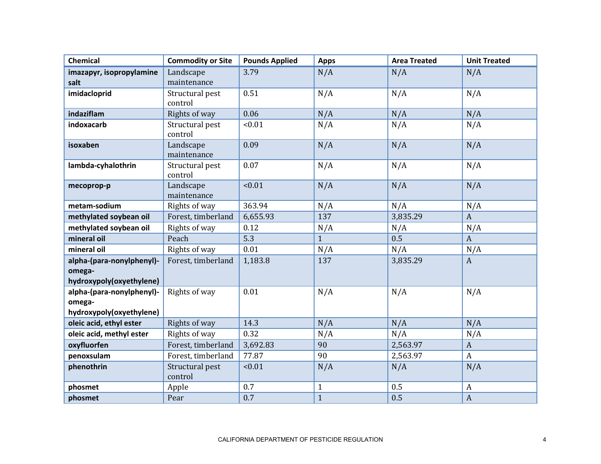| <b>Chemical</b>           | <b>Commodity or Site</b> | <b>Pounds Applied</b> | <b>Apps</b>  | <b>Area Treated</b> | <b>Unit Treated</b> |
|---------------------------|--------------------------|-----------------------|--------------|---------------------|---------------------|
| imazapyr, isopropylamine  | Landscape                | 3.79                  | N/A          | N/A                 | N/A                 |
| salt                      | maintenance              |                       |              |                     |                     |
| imidacloprid              | Structural pest          | 0.51                  | N/A          | N/A                 | N/A                 |
|                           | control                  |                       |              |                     |                     |
| indaziflam                | Rights of way            | 0.06                  | N/A          | N/A                 | N/A                 |
| indoxacarb                | Structural pest          | < 0.01                | N/A          | N/A                 | N/A                 |
|                           | control                  |                       |              |                     |                     |
| isoxaben                  | Landscape<br>maintenance | 0.09                  | N/A          | N/A                 | N/A                 |
| lambda-cyhalothrin        | Structural pest          | 0.07                  | N/A          | N/A                 | N/A                 |
|                           | control                  |                       |              |                     |                     |
| mecoprop-p                | Landscape                | < 0.01                | N/A          | N/A                 | N/A                 |
|                           | maintenance              |                       |              |                     |                     |
| metam-sodium              | Rights of way            | 363.94                | N/A          | N/A                 | N/A                 |
| methylated soybean oil    | Forest, timberland       | 6,655.93              | 137          | 3,835.29            | $\overline{A}$      |
| methylated soybean oil    | Rights of way            | 0.12                  | N/A          | N/A                 | N/A                 |
| mineral oil               | Peach                    | 5.3                   | $\mathbf{1}$ | 0.5                 | $\boldsymbol{A}$    |
| mineral oil               | Rights of way            | 0.01                  | N/A          | N/A                 | N/A                 |
| alpha-(para-nonylphenyl)- | Forest, timberland       | 1,183.8               | 137          | 3,835.29            | $\boldsymbol{A}$    |
| omega-                    |                          |                       |              |                     |                     |
| hydroxypoly(oxyethylene)  |                          |                       |              |                     |                     |
| alpha-(para-nonylphenyl)- | Rights of way            | 0.01                  | N/A          | N/A                 | N/A                 |
| omega-                    |                          |                       |              |                     |                     |
| hydroxypoly(oxyethylene)  |                          |                       |              |                     |                     |
| oleic acid, ethyl ester   | Rights of way            | 14.3                  | N/A          | N/A                 | N/A                 |
| oleic acid, methyl ester  | Rights of way            | 0.32                  | N/A          | N/A                 | N/A                 |
| oxyfluorfen               | Forest, timberland       | 3,692.83              | 90           | 2,563.97            | $\boldsymbol{A}$    |
| penoxsulam                | Forest, timberland       | 77.87                 | 90           | 2,563.97            | $\mathbf{A}$        |
| phenothrin                | Structural pest          | < 0.01                | N/A          | N/A                 | N/A                 |
|                           | control                  |                       |              |                     |                     |
| phosmet                   | Apple                    | 0.7                   | $\mathbf{1}$ | 0.5                 | $\boldsymbol{A}$    |
| phosmet                   | Pear                     | 0.7                   | $\mathbf{1}$ | 0.5                 | $\boldsymbol{A}$    |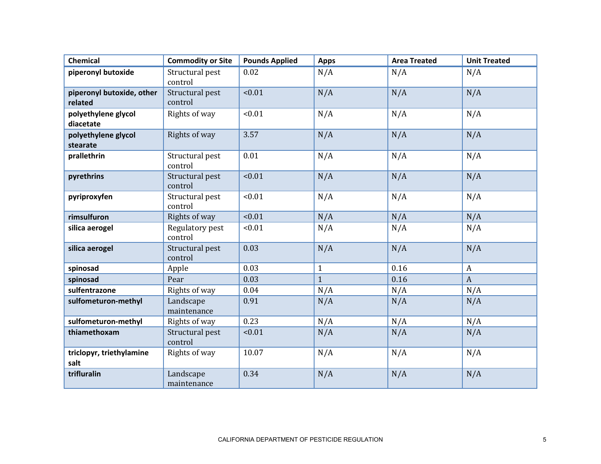| <b>Chemical</b>                      | <b>Commodity or Site</b>   | <b>Pounds Applied</b> | <b>Apps</b>  | <b>Area Treated</b> | <b>Unit Treated</b> |
|--------------------------------------|----------------------------|-----------------------|--------------|---------------------|---------------------|
| piperonyl butoxide                   | Structural pest<br>control | 0.02                  | N/A          | N/A                 | N/A                 |
| piperonyl butoxide, other<br>related | Structural pest<br>control | < 0.01                | N/A          | N/A                 | N/A                 |
| polyethylene glycol<br>diacetate     | Rights of way              | < 0.01                | N/A          | N/A                 | N/A                 |
| polyethylene glycol<br>stearate      | Rights of way              | 3.57                  | N/A          | N/A                 | N/A                 |
| prallethrin                          | Structural pest<br>control | 0.01                  | N/A          | N/A                 | N/A                 |
| pyrethrins                           | Structural pest<br>control | < 0.01                | N/A          | N/A                 | N/A                 |
| pyriproxyfen                         | Structural pest<br>control | < 0.01                | N/A          | N/A                 | N/A                 |
| rimsulfuron                          | Rights of way              | < 0.01                | N/A          | N/A                 | N/A                 |
| silica aerogel                       | Regulatory pest<br>control | < 0.01                | N/A          | N/A                 | N/A                 |
| silica aerogel                       | Structural pest<br>control | 0.03                  | N/A          | N/A                 | N/A                 |
| spinosad                             | Apple                      | 0.03                  | $\mathbf{1}$ | 0.16                | $\boldsymbol{A}$    |
| spinosad                             | Pear                       | 0.03                  | $\mathbf{1}$ | 0.16                | $\mathbf{A}$        |
| sulfentrazone                        | Rights of way              | 0.04                  | N/A          | N/A                 | N/A                 |
| sulfometuron-methyl                  | Landscape<br>maintenance   | 0.91                  | N/A          | N/A                 | N/A                 |
| sulfometuron-methyl                  | Rights of way              | 0.23                  | N/A          | N/A                 | N/A                 |
| thiamethoxam                         | Structural pest<br>control | < 0.01                | N/A          | N/A                 | N/A                 |
| triclopyr, triethylamine<br>salt     | Rights of way              | 10.07                 | N/A          | N/A                 | N/A                 |
| trifluralin                          | Landscape<br>maintenance   | 0.34                  | N/A          | N/A                 | N/A                 |